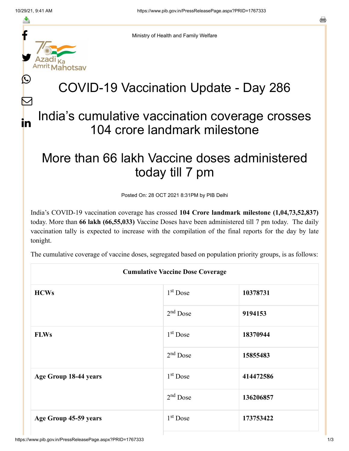≛

 $\bm{\nabla}$ 

in



Ministry of Health and Family Welfare

## COVID-19 Vaccination Update - Day 286

## India's cumulative vaccination coverage crosses 104 crore landmark milestone

## More than 66 lakh Vaccine doses administered today till 7 pm

Posted On: 28 OCT 2021 8:31PM by PIB Delhi

India's COVID-19 vaccination coverage has crossed **104 Crore landmark milestone (1,04,73,52,837)** today. More than **66 lakh (66,55,033)** Vaccine Doses have been administered till 7 pm today. The daily vaccination tally is expected to increase with the compilation of the final reports for the day by late tonight.

The cumulative coverage of vaccine doses, segregated based on population priority groups, is as follows:

| <b>Cumulative Vaccine Dose Coverage</b> |            |           |  |  |
|-----------------------------------------|------------|-----------|--|--|
| <b>HCWs</b>                             | $1st$ Dose | 10378731  |  |  |
|                                         | $2nd$ Dose | 9194153   |  |  |
| <b>FLWs</b>                             | $1st$ Dose | 18370944  |  |  |
|                                         | $2nd$ Dose | 15855483  |  |  |
| Age Group 18-44 years                   | $1st$ Dose | 414472586 |  |  |
|                                         | $2nd$ Dose | 136206857 |  |  |
| Age Group 45-59 years                   | $1st$ Dose | 173753422 |  |  |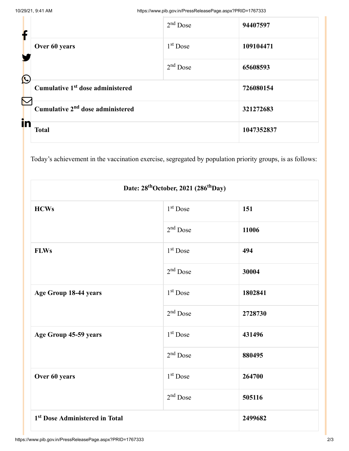| f                     |                                              | $2nd$ Dose | 94407597   |
|-----------------------|----------------------------------------------|------------|------------|
|                       | Over 60 years                                | $1st$ Dose | 109104471  |
| $\bigcirc$            |                                              | $2nd$ Dose | 65608593   |
| $\boldsymbol{\nabla}$ | Cumulative 1 <sup>st</sup> dose administered |            | 726080154  |
| in                    | Cumulative 2 <sup>nd</sup> dose administered |            | 321272683  |
|                       | <b>Total</b>                                 |            | 1047352837 |

Today's achievement in the vaccination exercise, segregated by population priority groups, is as follows:

| Date: 28 <sup>th</sup> October, 2021 (286 <sup>th</sup> Day) |                      |         |  |  |
|--------------------------------------------------------------|----------------------|---------|--|--|
| <b>HCWs</b>                                                  | 1 <sup>st</sup> Dose | 151     |  |  |
|                                                              | $2nd$ Dose           | 11006   |  |  |
| <b>FLWs</b>                                                  | 1 <sup>st</sup> Dose | 494     |  |  |
|                                                              | $2nd$ Dose           | 30004   |  |  |
| Age Group 18-44 years                                        | 1 <sup>st</sup> Dose | 1802841 |  |  |
|                                                              | $2nd$ Dose           | 2728730 |  |  |
| Age Group 45-59 years                                        | 1 <sup>st</sup> Dose | 431496  |  |  |
|                                                              | $2nd$ Dose           | 880495  |  |  |
| Over 60 years                                                | $1st$ Dose           | 264700  |  |  |
|                                                              | $2nd$ Dose           | 505116  |  |  |
| 1 <sup>st</sup> Dose Administered in Total                   |                      | 2499682 |  |  |